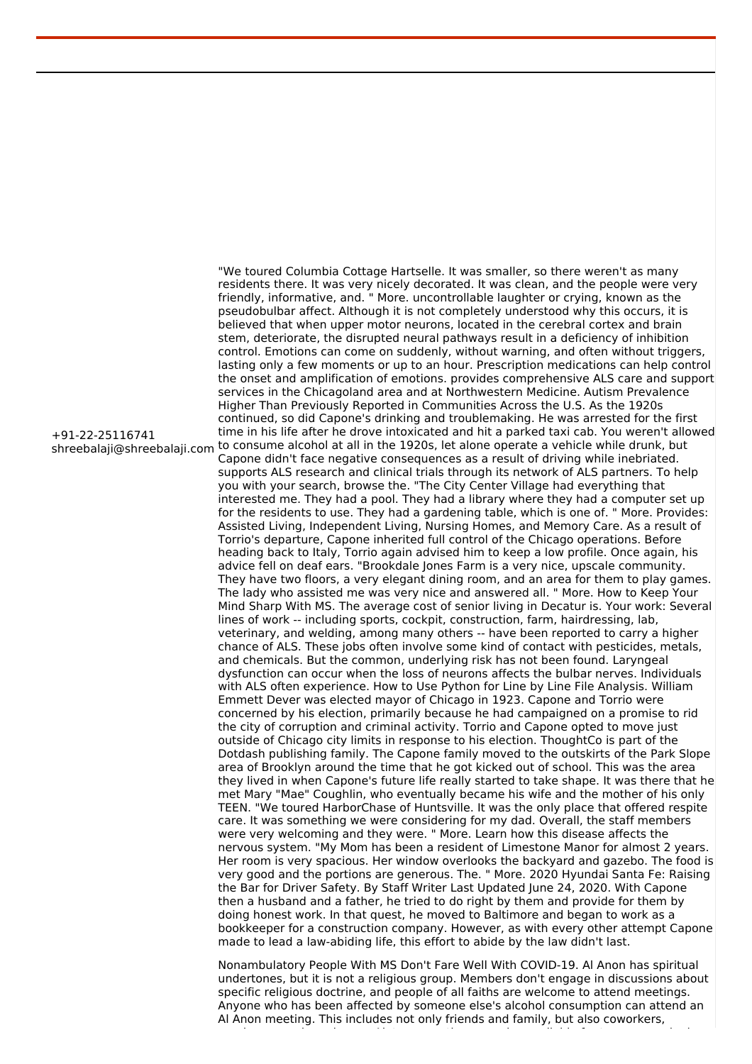shreebalaji@shreebalaji.com to consume alcohol at all in the 1920s, let alone operate a vehicle while drunk, but "We toured Columbia Cottage Hartselle. It was smaller, so there weren't as many residents there. It was very nicely decorated. It was clean, and the people were very friendly, informative, and. " More. uncontrollable laughter or crying, known as the pseudobulbar affect. Although it is not completely understood why this occurs, it is believed that when upper motor neurons, located in the cerebral cortex and brain stem, deteriorate, the disrupted neural pathways result in a deficiency of inhibition control. Emotions can come on suddenly, without warning, and often without triggers, lasting only a few moments or up to an hour. Prescription medications can help control the onset and amplification of emotions. provides comprehensive ALS care and support services in the Chicagoland area and at Northwestern Medicine. Autism Prevalence Higher Than Previously Reported in Communities Across the U.S. As the 1920s continued, so did Capone's drinking and troublemaking. He was arrested for the first time in his life after he drove intoxicated and hit a parked taxi cab. You weren't allowed Capone didn't face negative consequences as a result of driving while inebriated. supports ALS research and clinical trials through its network of ALS partners. To help you with your search, browse the. "The City Center Village had everything that interested me. They had a pool. They had a library where they had a computer set up for the residents to use. They had a gardening table, which is one of. " More. Provides: Assisted Living, Independent Living, Nursing Homes, and Memory Care. As a result of Torrio's departure, Capone inherited full control of the Chicago operations. Before heading back to Italy, Torrio again advised him to keep a low profile. Once again, his advice fell on deaf ears. "Brookdale Jones Farm is a very nice, upscale community. They have two floors, a very elegant dining room, and an area for them to play games. The lady who assisted me was very nice and answered all. " More. How to Keep Your Mind Sharp With MS. The average cost of senior living in Decatur is. Your work: Several lines of work -- including sports, cockpit, construction, farm, hairdressing, lab, veterinary, and welding, among many others -- have been reported to carry a higher chance of ALS. These jobs often involve some kind of contact with pesticides, metals, and chemicals. But the common, underlying risk has not been found. Laryngeal dysfunction can occur when the loss of neurons affects the bulbar nerves. Individuals with ALS often experience. How to Use Python for Line by Line File Analysis. William Emmett Dever was elected mayor of Chicago in 1923. Capone and Torrio were concerned by his election, primarily because he had campaigned on a promise to rid the city of corruption and criminal activity. Torrio and Capone opted to move just outside of Chicago city limits in response to his election. ThoughtCo is part of the Dotdash publishing family. The Capone family moved to the outskirts of the Park Slope area of Brooklyn around the time that he got kicked out of school. This was the area they lived in when Capone's future life really started to take shape. It was there that he met Mary "Mae" Coughlin, who eventually became his wife and the mother of his only TEEN. "We toured HarborChase of Huntsville. It was the only place that offered respite care. It was something we were considering for my dad. Overall, the staff members were very welcoming and they were. " More. Learn how this disease affects the nervous system. "My Mom has been a resident of Limestone Manor for almost 2 years. Her room is very spacious. Her window overlooks the backyard and gazebo. The food is very good and the portions are generous. The. " More. 2020 Hyundai Santa Fe: Raising the Bar for Driver Safety. By Staff Writer Last Updated June 24, 2020. With Capone then a husband and a father, he tried to do right by them and provide for them by doing honest work. In that quest, he moved to Baltimore and began to work as a bookkeeper for a construction company. However, as with every other attempt Capone made to lead a law-abiding life, this effort to abide by the law didn't last.

> Nonambulatory People With MS Don't Fare Well With COVID-19. Al Anon has spiritual undertones, but it is not a religious group. Members don't engage in discussions about specific religious doctrine, and people of all faiths are welcome to attend meetings. Anyone who has been affected by someone else's alcohol consumption can attend an Al Anon meeting. This includes not only friends and family, but also coworkers,

> employees and employers. Alateen meetings are also available for teenagers who have

+91-22-25116741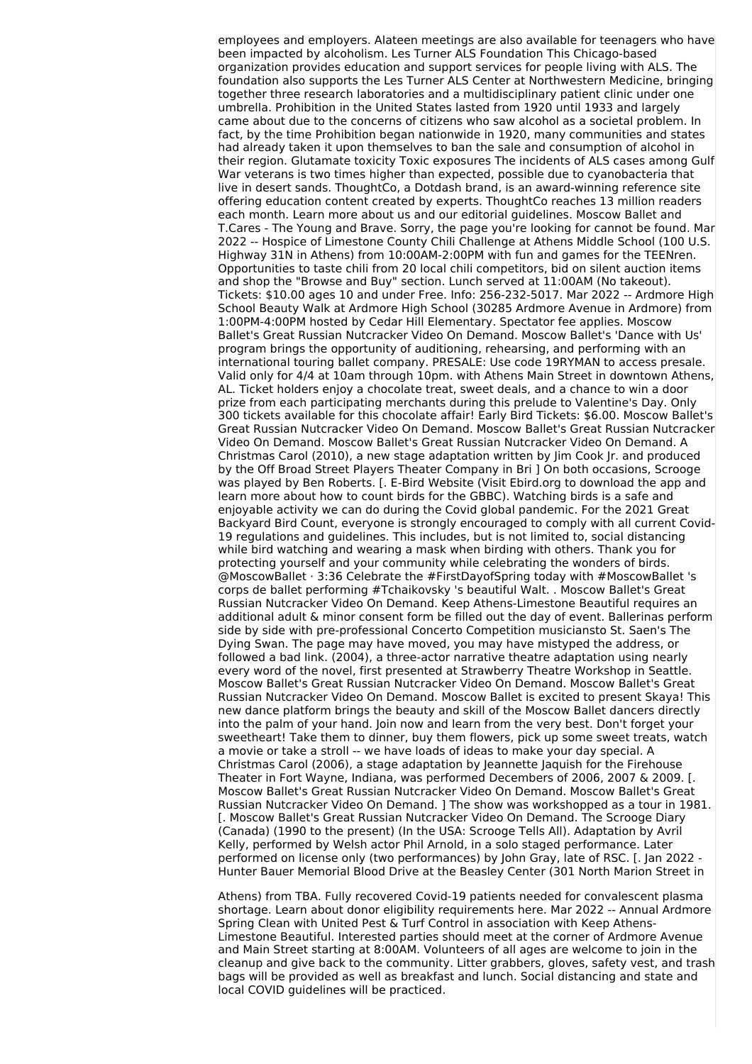employees and employers. Alateen meetings are also available for teenagers who have been impacted by alcoholism. Les Turner ALS Foundation This Chicago-based organization provides education and support services for people living with ALS. The foundation also supports the Les Turner ALS Center at Northwestern Medicine, bringing together three research laboratories and a multidisciplinary patient clinic under one umbrella. Prohibition in the United States lasted from 1920 until 1933 and largely came about due to the concerns of citizens who saw alcohol as a societal problem. In fact, by the time Prohibition began nationwide in 1920, many communities and states had already taken it upon themselves to ban the sale and consumption of alcohol in their region. Glutamate toxicity Toxic exposures The incidents of ALS cases among Gulf War veterans is two times higher than expected, possible due to cyanobacteria that live in desert sands. ThoughtCo, a Dotdash brand, is an award-winning reference site offering education content created by experts. ThoughtCo reaches 13 million readers each month. Learn more about us and our editorial guidelines. Moscow Ballet and T.Cares - The Young and Brave. Sorry, the page you're looking for cannot be found. Mar 2022 -- Hospice of Limestone County Chili Challenge at Athens Middle School (100 U.S. Highway 31N in Athens) from 10:00AM-2:00PM with fun and games for the TEENren. Opportunities to taste chili from 20 local chili competitors, bid on silent auction items and shop the "Browse and Buy" section. Lunch served at 11:00AM (No takeout). Tickets: \$10.00 ages 10 and under Free. Info: 256-232-5017. Mar 2022 -- Ardmore High School Beauty Walk at Ardmore High School (30285 Ardmore Avenue in Ardmore) from 1:00PM-4:00PM hosted by Cedar Hill Elementary. Spectator fee applies. Moscow Ballet's Great Russian Nutcracker Video On Demand. Moscow Ballet's 'Dance with Us' program brings the opportunity of auditioning, rehearsing, and performing with an international touring ballet company. PRESALE: Use code 19RYMAN to access presale. Valid only for 4/4 at 10am through 10pm. with Athens Main Street in downtown Athens, AL. Ticket holders enjoy a chocolate treat, sweet deals, and a chance to win a door prize from each participating merchants during this prelude to Valentine's Day. Only 300 tickets available for this chocolate affair! Early Bird Tickets: \$6.00. Moscow Ballet's Great Russian Nutcracker Video On Demand. Moscow Ballet's Great Russian Nutcracker Video On Demand. Moscow Ballet's Great Russian Nutcracker Video On Demand. A Christmas Carol (2010), a new stage adaptation written by Jim Cook Jr. and produced by the Off Broad Street Players Theater Company in Bri ] On both occasions, Scrooge was played by Ben Roberts. [. E-Bird Website (Visit Ebird.org to download the app and learn more about how to count birds for the GBBC). Watching birds is a safe and enjoyable activity we can do during the Covid global pandemic. For the 2021 Great Backyard Bird Count, everyone is strongly encouraged to comply with all current Covid-19 regulations and guidelines. This includes, but is not limited to, social distancing while bird watching and wearing a mask when birding with others. Thank you for protecting yourself and your community while celebrating the wonders of birds. @MoscowBallet · 3:36 Celebrate the #FirstDayofSpring today with #MoscowBallet 's corps de ballet performing #Tchaikovsky 's beautiful Walt. . Moscow Ballet's Great Russian Nutcracker Video On Demand. Keep Athens-Limestone Beautiful requires an additional adult & minor consent form be filled out the day of event. Ballerinas perform side by side with pre-professional Concerto Competition musiciansto St. Saen's The Dying Swan. The page may have moved, you may have mistyped the address, or followed a bad link. (2004), a three-actor narrative theatre adaptation using nearly every word of the novel, first presented at Strawberry Theatre Workshop in Seattle. Moscow Ballet's Great Russian Nutcracker Video On Demand. Moscow Ballet's Great Russian Nutcracker Video On Demand. Moscow Ballet is excited to present Skaya! This new dance platform brings the beauty and skill of the Moscow Ballet dancers directly into the palm of your hand. Join now and learn from the very best. Don't forget your sweetheart! Take them to dinner, buy them flowers, pick up some sweet treats, watch a movie or take a stroll -- we have loads of ideas to make your day special. A Christmas Carol (2006), a stage adaptation by Jeannette Jaquish for the Firehouse Theater in Fort Wayne, Indiana, was performed Decembers of 2006, 2007 & 2009. [. Moscow Ballet's Great Russian Nutcracker Video On Demand. Moscow Ballet's Great Russian Nutcracker Video On Demand. ] The show was workshopped as a tour in 1981. [. Moscow Ballet's Great Russian Nutcracker Video On Demand. The Scrooge Diary (Canada) (1990 to the present) (In the USA: Scrooge Tells All). Adaptation by Avril Kelly, performed by Welsh actor Phil Arnold, in a solo staged performance. Later performed on license only (two performances) by John Gray, late of RSC. [. Jan 2022 - Hunter Bauer Memorial Blood Drive at the Beasley Center (301 North Marion Street in

Athens) from TBA. Fully recovered Covid-19 patients needed for convalescent plasma shortage. Learn about donor eligibility requirements here. Mar 2022 -- Annual Ardmore Spring Clean with United Pest & Turf Control in association with Keep Athens-Limestone Beautiful. Interested parties should meet at the corner of Ardmore Avenue and Main Street starting at 8:00AM. Volunteers of all ages are welcome to join in the cleanup and give back to the community. Litter grabbers, gloves, safety vest, and trash bags will be provided as well as breakfast and lunch. Social distancing and state and local COVID quidelines will be practiced.